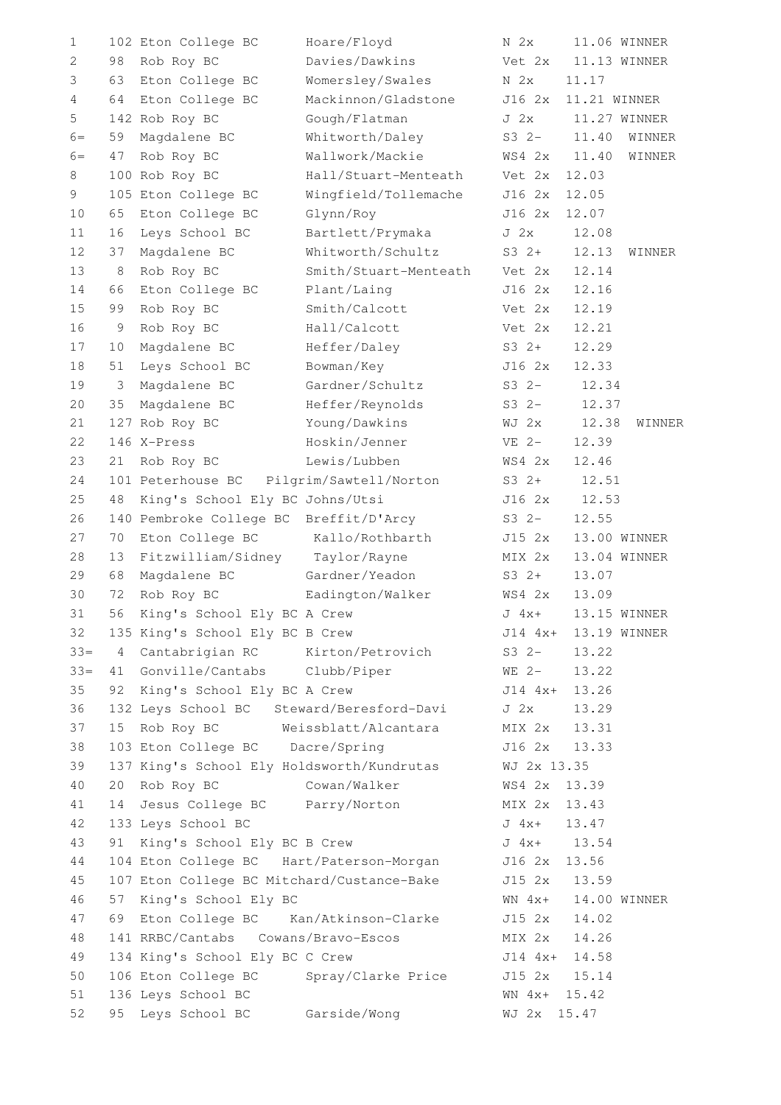| 1              |    | 102 Eton College BC                        | Hoare/Floyd                               | N <sub>2x</sub> | 11.06 WINNER |        |
|----------------|----|--------------------------------------------|-------------------------------------------|-----------------|--------------|--------|
| 2              | 98 | Rob Roy BC                                 | Davies/Dawkins                            | Vet 2x          | 11.13 WINNER |        |
| 3              | 63 | Eton College BC                            | Womersley/Swales                          | N <sub>2x</sub> | 11.17        |        |
| $\overline{4}$ | 64 | Eton College BC                            | Mackinnon/Gladstone                       | J16 2x          | 11.21 WINNER |        |
| 5              |    | 142 Rob Roy BC                             | Gough/Flatman                             | J <sub>2x</sub> | 11.27 WINNER |        |
| $6=$           | 59 | Magdalene BC                               | Whitworth/Daley                           | $S32 -$         | 11.40        | WINNER |
| $6=$           | 47 | Rob Roy BC                                 | Wallwork/Mackie                           | WS4 2x          | 11.40        | WINNER |
| 8              |    | 100 Rob Roy BC                             | Hall/Stuart-Menteath                      | Vet 2x          | 12.03        |        |
| 9              |    | 105 Eton College BC                        | Wingfield/Tollemache                      | J16 2x          | 12.05        |        |
| 10             | 65 | Eton College BC                            | Glynn/Roy                                 | J16 2x          | 12.07        |        |
| 11             | 16 | Leys School BC                             | Bartlett/Prymaka                          | J <sub>2x</sub> | 12.08        |        |
| 12             | 37 | Magdalene BC                               | Whitworth/Schultz                         | $S3 2+$         | 12.13        | WINNER |
| 13             | 8  | Rob Roy BC                                 | Smith/Stuart-Menteath                     | Vet 2x          | 12.14        |        |
| 14             | 66 | Eton College BC                            | Plant/Laing                               | J16 2x          | 12.16        |        |
| 15             | 99 | Rob Roy BC                                 | Smith/Calcott                             | Vet 2x          | 12.19        |        |
| 16             | 9  | Rob Roy BC                                 | Hall/Calcott                              | Vet 2x          | 12.21        |        |
| 17             | 10 | Magdalene BC                               | Heffer/Daley                              | $S3 2+$         | 12.29        |        |
| 18             | 51 | Leys School BC                             | Bowman/Key                                | J16 2x          | 12.33        |        |
| 19             | 3  | Magdalene BC                               | Gardner/Schultz                           | $S3 2-$         | 12.34        |        |
| 20             | 35 | Magdalene BC                               | Heffer/Reynolds                           | $S3 2-$         | 12.37        |        |
| 21             |    | 127 Rob Roy BC                             | Young/Dawkins                             | WJ 2x           | 12.38        | WINNER |
| 22             |    | 146 X-Press                                | Hoskin/Jenner                             | $VE$ 2-         | 12.39        |        |
| 23             | 21 | Rob Roy BC                                 | Lewis/Lubben                              | WS4 2x          | 12.46        |        |
| 24             |    | 101 Peterhouse BC                          | Pilgrim/Sawtell/Norton                    | $S3 2+$         | 12.51        |        |
| 25             | 48 | King's School Ely BC Johns/Utsi            |                                           | J16 2x          | 12.53        |        |
| 26             |    | 140 Pembroke College BC                    | Breffit/D'Arcy                            | $S3 2-$         | 12.55        |        |
| 27             | 70 | Eton College BC                            | Kallo/Rothbarth                           | J15 2x          | 13.00 WINNER |        |
| 28             | 13 | Fitzwilliam/Sidney                         | Taylor/Rayne                              | MIX 2x          | 13.04 WINNER |        |
| 29             | 68 | Magdalene BC                               | Gardner/Yeadon                            | $S3 \t2+$       | 13.07        |        |
| 30             | 72 | Rob Roy BC                                 | Eadington/Walker                          | WS4 2x          | 13.09        |        |
| 31             | 56 | King's School Ely BC A Crew                |                                           | $J$ 4x+         | 13.15 WINNER |        |
| 32             |    | 135 King's School Ely BC B Crew            |                                           | $J14$ $4x+$     | 13.19 WINNER |        |
| $33 =$         | 4  | Cantabrigian RC Kirton/Petrovich           |                                           | $S3 2-$         | 13.22        |        |
| $33 =$         | 41 | Gonville/Cantabs Clubb/Piper               |                                           | $WE$ 2-         | 13.22        |        |
| 35             | 92 | King's School Ely BC A Crew                |                                           | $J14 4x+$       | 13.26        |        |
| 36             |    |                                            | 132 Leys School BC Steward/Beresford-Davi | J <sub>2x</sub> | 13.29        |        |
| 37             | 15 | Rob Roy BC Weissblatt/Alcantara            |                                           | MIX 2x          | 13.31        |        |
| 38             |    | 103 Eton College BC Dacre/Spring           |                                           | J16 2x          | 13.33        |        |
| 39             |    | 137 King's School Ely Holdsworth/Kundrutas |                                           | WJ 2x 13.35     |              |        |
| 40             | 20 | Rob Roy BC                                 | Cowan/Walker                              | WS4 2x          | 13.39        |        |
| 41             | 14 | Jesus College BC Parry/Norton              |                                           | MIX 2x          | 13.43        |        |
| 42             |    | 133 Leys School BC                         |                                           | J 4x+           | 13.47        |        |
| 43             | 91 | King's School Ely BC B Crew                |                                           | $J \ 4x+$       | 13.54        |        |
| 44             |    | 104 Eton College BC Hart/Paterson-Morgan   |                                           | J16 2x 13.56    |              |        |
| 45             |    | 107 Eton College BC Mitchard/Custance-Bake |                                           | J15 2x          | 13.59        |        |
| 46             | 57 | King's School Ely BC                       |                                           | $WN$ $4x+$      | 14.00 WINNER |        |
| 47             | 69 | Eton College BC Kan/Atkinson-Clarke        |                                           | J15 2x          | 14.02        |        |
| 48             |    | 141 RRBC/Cantabs Cowans/Bravo-Escos        |                                           | MIX 2x          | 14.26        |        |
| 49             |    | 134 King's School Ely BC C Crew            |                                           | J14 4x+         | 14.58        |        |
| 50             |    | 106 Eton College BC Spray/Clarke Price     |                                           | J15 2x          | 15.14        |        |
| 51             |    | 136 Leys School BC                         |                                           | $WN 4x+$        | 15.42        |        |
| 52             | 95 | Leys School BC                             | Garside/Wong                              | WJ 2x           | 15.47        |        |
|                |    |                                            |                                           |                 |              |        |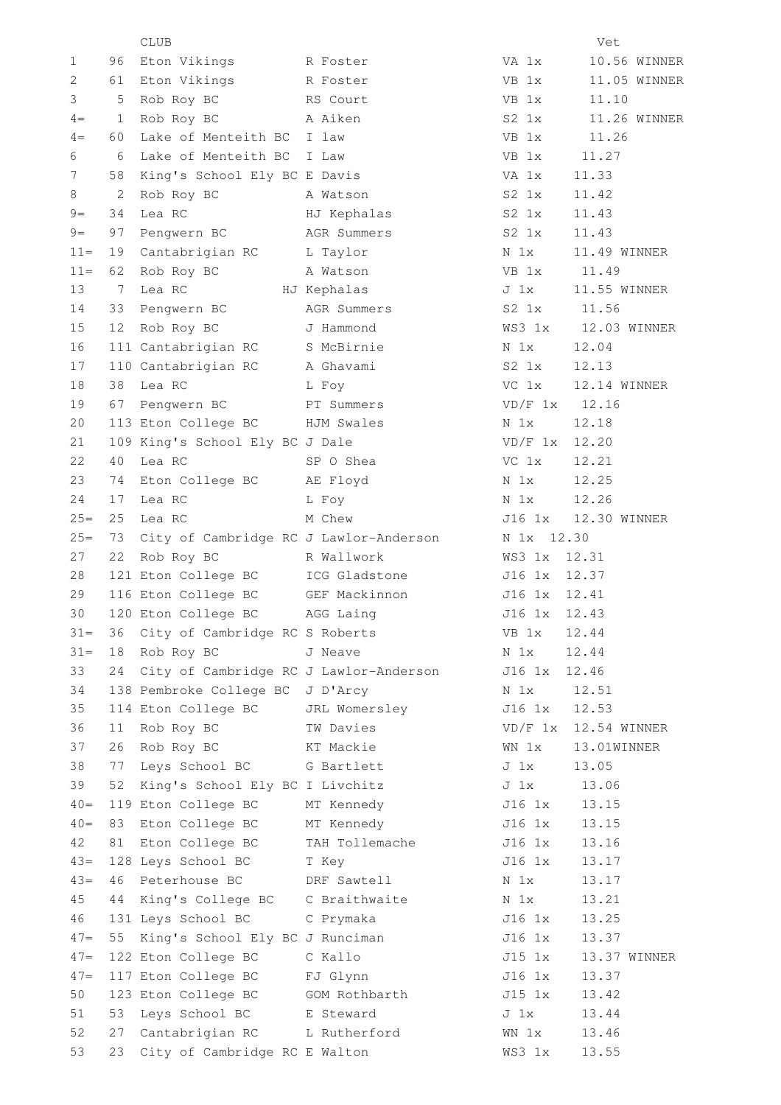|        |              | <b>CLUB</b>                            |                |                 | Vet          |
|--------|--------------|----------------------------------------|----------------|-----------------|--------------|
| 1      | 96           | Eton Vikings                           | R Foster       | VA 1x           | 10.56 WINNER |
| 2      | 61           | Eton Vikings                           | R Foster       | VB 1x           | 11.05 WINNER |
| 3      | 5            | Rob Roy BC                             | RS Court       | VB 1x           | 11.10        |
| $4 =$  | $\mathbf{1}$ | Rob Roy BC                             | A Aiken        | $S2 \quad 1x$   | 11.26 WINNER |
| $4 =$  | 60           | Lake of Menteith BC                    | I law          | VB 1x           | 11.26        |
| 6      | 6            | Lake of Menteith BC                    | I Law          | VB 1x           | 11.27        |
| 7      | 58           | King's School Ely BC E Davis           |                | VA 1x           | 11.33        |
| 8      | 2            | Rob Roy BC                             | A Watson       | $S2 \; 1x$      | 11.42        |
| $9 =$  | 34           | Lea RC                                 | HJ Kephalas    | $S2 \; 1x$      | 11.43        |
| $9=$   | 97           | Pengwern BC                            | AGR Summers    | S2 1x           | 11.43        |
| $11 =$ | 19           | Cantabrigian RC                        | L Taylor       | N <sub>1x</sub> | 11.49 WINNER |
| $11 =$ | 62           | Rob Roy BC                             | A Watson       | VB 1x           | 11.49        |
| 13     | 7            | Lea RC                                 | HJ Kephalas    | J 1x            | 11.55 WINNER |
| 14     | 33           | Pengwern BC                            | AGR Summers    | $S2 \; 1x$      | 11.56        |
| 15     | 12           | Rob Roy BC                             | J Hammond      | WS3 1x          | 12.03 WINNER |
| 16     |              | 111 Cantabrigian RC                    | S McBirnie     | N 1x            | 12.04        |
| 17     |              | 110 Cantabrigian RC                    | A Ghavami      | $S2 \; 1x$      | 12.13        |
| 18     | 38           | Lea RC                                 | L Foy          | VC 1x           | 12.14 WINNER |
| 19     | 67           | Pengwern BC                            | PT Summers     | $VD/F$ 1x       | 12.16        |
| 20     |              |                                        | HJM Swales     | N 1x            | 12.18        |
|        |              | 113 Eton College BC                    |                | $VD/F$ 1x       | 12.20        |
| 21     |              | 109 King's School Ely BC J Dale        |                |                 |              |
| 22     | 40           | Lea RC                                 | SP O Shea      | VC 1x           | 12.21        |
| 23     | 74           | Eton College BC                        | AE Floyd       | N 1x            | 12.25        |
| 24     | 17           | Lea RC                                 | L Foy          | N 1x            | 12.26        |
| $25=$  | 25           | Lea RC                                 | M Chew         | J16 1x          | 12.30 WINNER |
| $25=$  | 73           | City of Cambridge RC J Lawlor-Anderson |                | N 1x 12.30      |              |
| 27     | 22           | Rob Roy BC                             | R Wallwork     | WS3 1x          | 12.31        |
| 28     |              | 121 Eton College BC                    | ICG Gladstone  | J16 1x          | 12.37        |
| 29     |              | 116 Eton College BC                    | GEF Mackinnon  | J16<br>1x       | 12.41        |
| 30     |              | 120 Eton College BC                    | AGG Laing      | J16 1x          | 12.43        |
| $31 -$ | 36           | City of Cambridge RC S Roberts         |                | VB 1x           | 12.44        |
| $31 =$ | 18           | Rob Roy BC                             | J Neave        | N 1x            | 12.44        |
| 33     | 24           | City of Cambridge RC J Lawlor-Anderson |                | J16 1x          | 12.46        |
| 34     |              | 138 Pembroke College BC J D'Arcy       |                | N 1x            | 12.51        |
| 35     |              | 114 Eton College BC                    | JRL Womersley  | J16 1x          | 12.53        |
| 36     | 11           | Rob Roy BC                             | TW Davies      | VD/F 1x         | 12.54 WINNER |
| 37     | 26           | Rob Roy BC                             | KT Mackie      | WN 1x           | 13.01WINNER  |
| 38     | 77           | Leys School BC                         | G Bartlett     | J <sub>1x</sub> | 13.05        |
| 39     | 52           | King's School Ely BC I Livchitz        |                | J <sub>1x</sub> | 13.06        |
| $40=$  |              | 119 Eton College BC                    | MT Kennedy     | J16 1x          | 13.15        |
| $40=$  | 83           | Eton College BC                        | MT Kennedy     | J16 1x          | 13.15        |
| 42     | 81           | Eton College BC                        | TAH Tollemache | J16 1x          | 13.16        |
| $43=$  |              | 128 Leys School BC                     | T Key          | J16 1x          | 13.17        |
| $43=$  | 46           | Peterhouse BC                          | DRF Sawtell    | N <sub>1x</sub> | 13.17        |
| 45     | 44           | King's College BC                      | C Braithwaite  | N 1x            | 13.21        |
| 46     |              | 131 Leys School BC                     | C Prymaka      | J16 1x          | 13.25        |
| $47=$  | 55           | King's School Ely BC J Runciman        |                | J16 1x          | 13.37        |
| $47=$  |              | 122 Eton College BC                    | C Kallo        | J15 1x          | 13.37 WINNER |
| $47=$  |              | 117 Eton College BC                    | FJ Glynn       | J16 1x          | 13.37        |
| 50     |              | 123 Eton College BC                    | GOM Rothbarth  | J15 1x          | 13.42        |
| 51     | 53           | Leys School BC                         | E Steward      | $J_1x$          | 13.44        |
| 52     | 27           | Cantabrigian RC                        | L Rutherford   | WN 1x           | 13.46        |
| 53     | 23           | City of Cambridge RC E Walton          |                | WS3 1x          | 13.55        |
|        |              |                                        |                |                 |              |